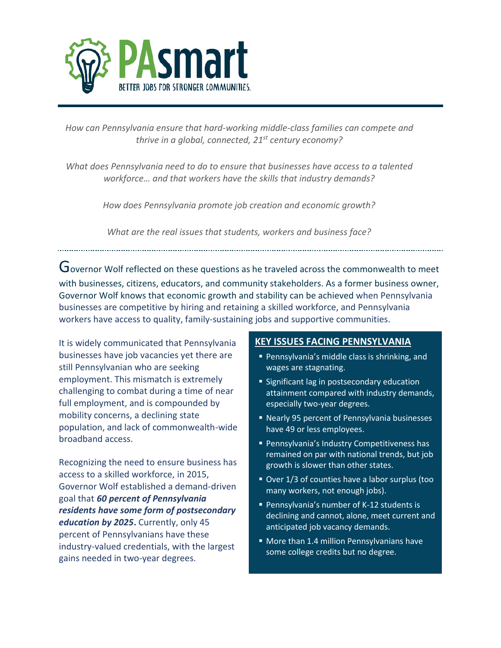

*How can Pennsylvania ensure that hard-working middle-class families can compete and thrive in a global, connected, 21st century economy?*

*What does Pennsylvania need to do to ensure that businesses have access to a talented workforce… and that workers have the skills that industry demands?*

*How does Pennsylvania promote job creation and economic growth?*

*What are the real issues that students, workers and business face?*

Governor Wolf reflected on these questions as he traveled across the commonwealth to meet with businesses, citizens, educators, and community stakeholders. As a former business owner, Governor Wolf knows that economic growth and stability can be achieved when Pennsylvania businesses are competitive by hiring and retaining a skilled workforce, and Pennsylvania workers have access to quality, family-sustaining jobs and supportive communities.

It is widely communicated that Pennsylvania businesses have job vacancies yet there are still Pennsylvanian who are seeking employment. This mismatch is extremely challenging to combat during a time of near full employment, and is compounded by mobility concerns, a declining state population, and lack of commonwealth-wide broadband access.

Recognizing the need to ensure business has access to a skilled workforce, in 2015, Governor Wolf established a demand-driven goal that *60 percent of Pennsylvania residents have some form of postsecondary education by 2025***.** Currently, only 45 percent of Pennsylvanians have these industry-valued credentials, with the largest gains needed in two-year degrees.

# **KEY ISSUES FACING PENNSYLVANIA**

- **Pennsylvania's middle class is shrinking, and** wages are stagnating.
- Significant lag in postsecondary education attainment compared with industry demands, especially two-year degrees.
- Nearly 95 percent of Pennsylvania businesses have 49 or less employees.
- Pennsylvania's Industry Competitiveness has remained on par with national trends, but job growth is slower than other states.
- Over 1/3 of counties have a labor surplus (too many workers, not enough jobs).
- Pennsylvania's number of K-12 students is declining and cannot, alone, meet current and anticipated job vacancy demands.
- More than 1.4 million Pennsylvanians have some college credits but no degree.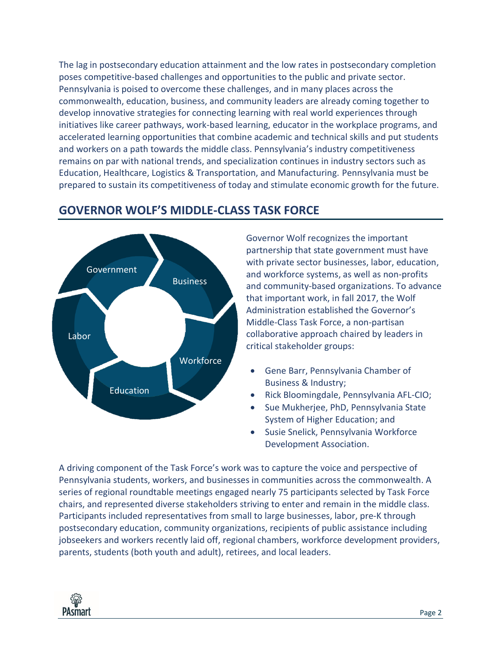The lag in postsecondary education attainment and the low rates in postsecondary completion poses competitive-based challenges and opportunities to the public and private sector. Pennsylvania is poised to overcome these challenges, and in many places across the commonwealth, education, business, and community leaders are already coming together to develop innovative strategies for connecting learning with real world experiences through initiatives like career pathways, work-based learning, educator in the workplace programs, and accelerated learning opportunities that combine academic and technical skills and put students and workers on a path towards the middle class. Pennsylvania's industry competitiveness remains on par with national trends, and specialization continues in industry sectors such as Education, Healthcare, Logistics & Transportation, and Manufacturing. Pennsylvania must be prepared to sustain its competitiveness of today and stimulate economic growth for the future.



# **GOVERNOR WOLF'S MIDDLE-CLASS TASK FORCE**

Governor Wolf recognizes the important partnership that state government must have with private sector businesses, labor, education, and workforce systems, as well as non-profits and community-based organizations. To advance that important work, in fall 2017, the Wolf Administration established the Governor's Middle-Class Task Force, a non-partisan collaborative approach chaired by leaders in critical stakeholder groups:

- Gene Barr, Pennsylvania Chamber of Business & Industry;
- Rick Bloomingdale, Pennsylvania AFL-CIO;
- Sue Mukherjee, PhD, Pennsylvania State System of Higher Education; and
- Susie Snelick, Pennsylvania Workforce Development Association.

A driving component of the Task Force's work was to capture the voice and perspective of Pennsylvania students, workers, and businesses in communities across the commonwealth. A series of regional roundtable meetings engaged nearly 75 participants selected by Task Force chairs, and represented diverse stakeholders striving to enter and remain in the middle class. Participants included representatives from small to large businesses, labor, pre-K through postsecondary education, community organizations, recipients of public assistance including jobseekers and workers recently laid off, regional chambers, workforce development providers, parents, students (both youth and adult), retirees, and local leaders.

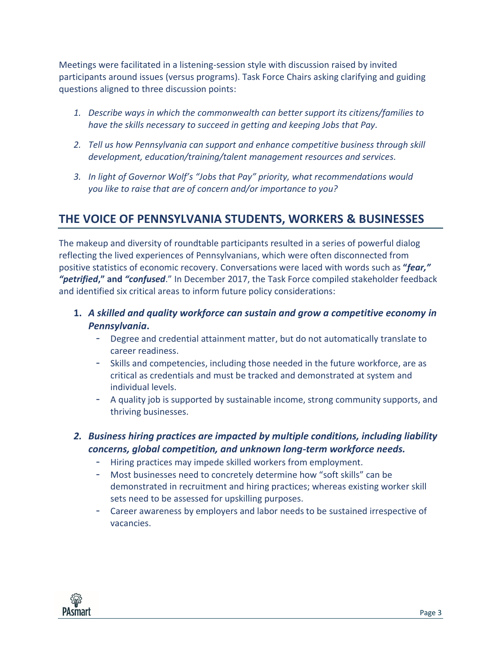Meetings were facilitated in a listening-session style with discussion raised by invited participants around issues (versus programs). Task Force Chairs asking clarifying and guiding questions aligned to three discussion points:

- *1. Describe ways in which the commonwealth can better support its citizens/families to have the skills necessary to succeed in getting and keeping Jobs that Pay.*
- *2. Tell us how Pennsylvania can support and enhance competitive business through skill development, education/training/talent management resources and services.*
- *3. In light of Governor Wolf's "Jobs that Pay" priority, what recommendations would you like to raise that are of concern and/or importance to you?*

# **THE VOICE OF PENNSYLVANIA STUDENTS, WORKERS & BUSINESSES**

The makeup and diversity of roundtable participants resulted in a series of powerful dialog reflecting the lived experiences of Pennsylvanians, which were often disconnected from positive statistics of economic recovery. Conversations were laced with words such as **"***fear," "petrified***," and** *"confused*." In December 2017, the Task Force compiled stakeholder feedback and identified six critical areas to inform future policy considerations:

- **1.** *A skilled and quality workforce can sustain and grow a competitive economy in Pennsylvania***.**
	- Degree and credential attainment matter, but do not automatically translate to career readiness.
	- Skills and competencies, including those needed in the future workforce, are as critical as credentials and must be tracked and demonstrated at system and individual levels.
	- A quality job is supported by sustainable income, strong community supports, and thriving businesses.
- *2. Business hiring practices are impacted by multiple conditions, including liability concerns, global competition, and unknown long-term workforce needs.* 
	- Hiring practices may impede skilled workers from employment.
	- Most businesses need to concretely determine how "soft skills" can be demonstrated in recruitment and hiring practices; whereas existing worker skill sets need to be assessed for upskilling purposes.
	- Career awareness by employers and labor needs to be sustained irrespective of vacancies.

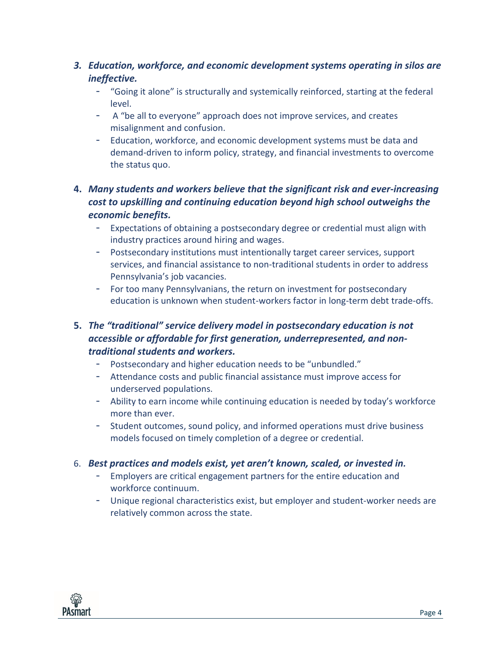# *3. Education, workforce, and economic development systems operating in silos are ineffective.*

- "Going it alone" is structurally and systemically reinforced, starting at the federal level.
- A "be all to everyone" approach does not improve services, and creates misalignment and confusion.
- Education, workforce, and economic development systems must be data and demand-driven to inform policy, strategy, and financial investments to overcome the status quo.

# **4.** *Many students and workers believe that the significant risk and ever-increasing cost to upskilling and continuing education beyond high school outweighs the economic benefits.*

- Expectations of obtaining a postsecondary degree or credential must align with industry practices around hiring and wages.
- Postsecondary institutions must intentionally target career services, support services, and financial assistance to non-traditional students in order to address Pennsylvania's job vacancies.
- For too many Pennsylvanians, the return on investment for postsecondary education is unknown when student-workers factor in long-term debt trade-offs.

# **5.** *The "traditional" service delivery model in postsecondary education is not accessible or affordable for first generation, underrepresented, and nontraditional students and workers.*

- Postsecondary and higher education needs to be "unbundled."
- Attendance costs and public financial assistance must improve access for underserved populations.
- Ability to earn income while continuing education is needed by today's workforce more than ever.
- Student outcomes, sound policy, and informed operations must drive business models focused on timely completion of a degree or credential.

# 6. *Best practices and models exist, yet aren't known, scaled, or invested in.*

- Employers are critical engagement partners for the entire education and workforce continuum.
- Unique regional characteristics exist, but employer and student-worker needs are relatively common across the state.

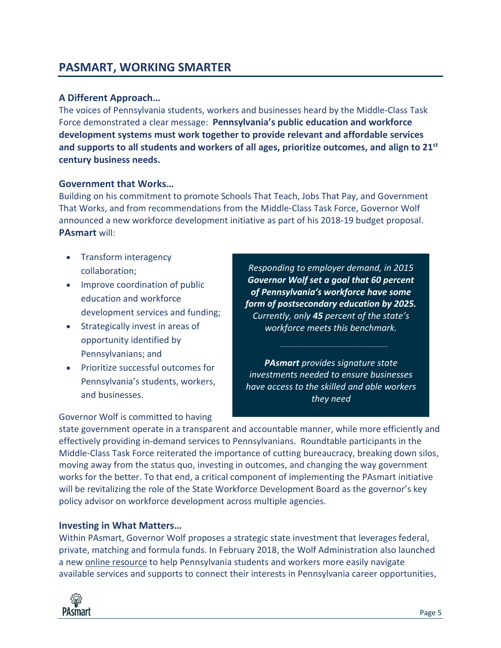# **PASMART, WORKING SMARTER**

# **A Different Approach…**

The voices of Pennsylvania students, workers and businesses heard by the Middle-Class Task Force demonstrated a clear message: **Pennsylvania's public education and workforce development systems must work together to provide relevant and affordable services and supports to all students and workers of all ages, prioritize outcomes, and align to 21st century business needs.** 

#### **Government that Works…**

Building on his commitment to promote Schools That Teach, Jobs That Pay, and Government That Works, and from recommendations from the Middle-Class Task Force, Governor Wolf announced a new workforce development initiative as part of his 2018-19 budget proposal. **PAsmart** will:

- Transform interagency collaboration;
- Improve coordination of public education and workforce development services and funding;
- Strategically invest in areas of opportunity identified by Pennsylvanians; and
- Prioritize successful outcomes for Pennsylvania's students, workers, and businesses.

*Responding to employer demand, in 2015 Governor Wolf set a goal that 60 percent of Pennsylvania's workforce have some form of postsecondary education by 2025. Currently, only 45 percent of the state's workforce meets this benchmark.*

*PAsmart provides signature state investments needed to ensure businesses have access to the skilled and able workers they need*

#### Governor Wolf is committed to having

state government operate in a transparent and accountable manner, while more efficiently and effectively providing in-demand services to Pennsylvanians. Roundtable participants in the Middle-Class Task Force reiterated the importance of cutting bureaucracy, breaking down silos, moving away from the status quo, investing in outcomes, and changing the way government works for the better. To that end, a critical component of implementing the PAsmart initiative will be revitalizing the role of the State Workforce Development Board as the governor's key policy advisor on workforce development across multiple agencies.

# **Investing in What Matters…**

Within PAsmart, Governor Wolf proposes a strategic state investment that leverages federal, private, matching and formula funds. In February 2018, the Wolf Administration also launched a new [online resource](https://www.pa.gov/smart) to help Pennsylvania students and workers more easily navigate available services and supports to connect their interests in Pennsylvania career opportunities,

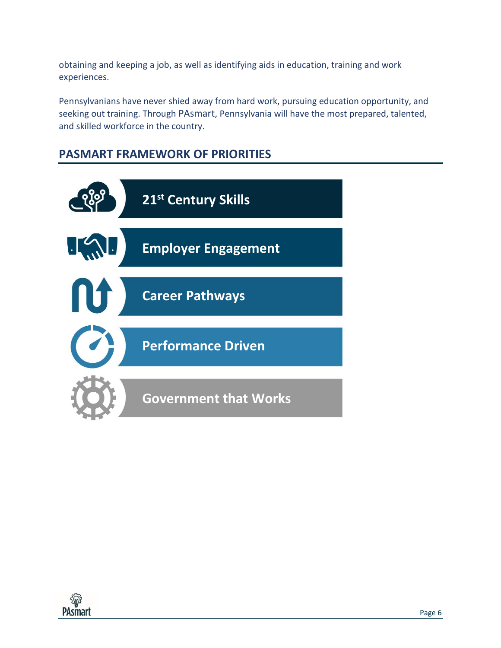obtaining and keeping a job, as well as identifying aids in education, training and work experiences.

Pennsylvanians have never shied away from hard work, pursuing education opportunity, and seeking out training. Through PAsmart, Pennsylvania will have the most prepared, talented, and skilled workforce in the country.

# **PASMART FRAMEWORK OF PRIORITIES**



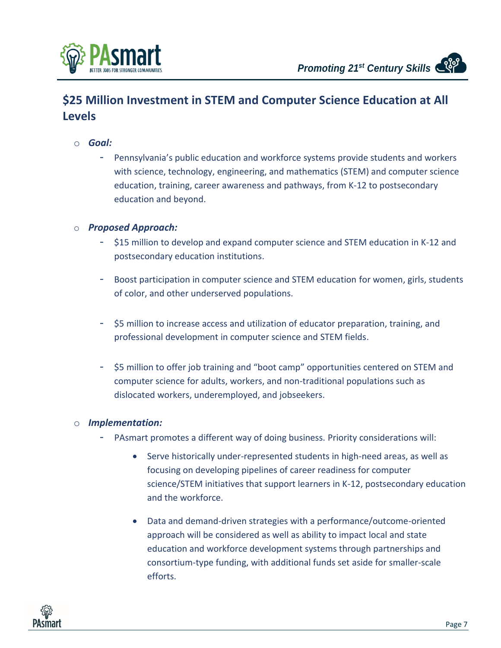

# **\$25 Million Investment in STEM and Computer Science Education at All Levels**

- o *Goal:* 
	- Pennsylvania's public education and workforce systems provide students and workers with science, technology, engineering, and mathematics (STEM) and computer science education, training, career awareness and pathways, from K-12 to postsecondary education and beyond.

### o *Proposed Approach:*

- \$15 million to develop and expand computer science and STEM education in K-12 and postsecondary education institutions.
- Boost participation in computer science and STEM education for women, girls, students of color, and other underserved populations.
- \$5 million to increase access and utilization of educator preparation, training, and professional development in computer science and STEM fields.
- \$5 million to offer job training and "boot camp" opportunities centered on STEM and computer science for adults, workers, and non-traditional populations such as dislocated workers, underemployed, and jobseekers.

#### o *Implementation:*

- PAsmart promotes a different way of doing business. Priority considerations will:
	- Serve historically under-represented students in high-need areas, as well as focusing on developing pipelines of career readiness for computer science/STEM initiatives that support learners in K-12, postsecondary education and the workforce.
	- Data and demand-driven strategies with a performance/outcome-oriented approach will be considered as well as ability to impact local and state education and workforce development systems through partnerships and consortium-type funding, with additional funds set aside for smaller-scale efforts.

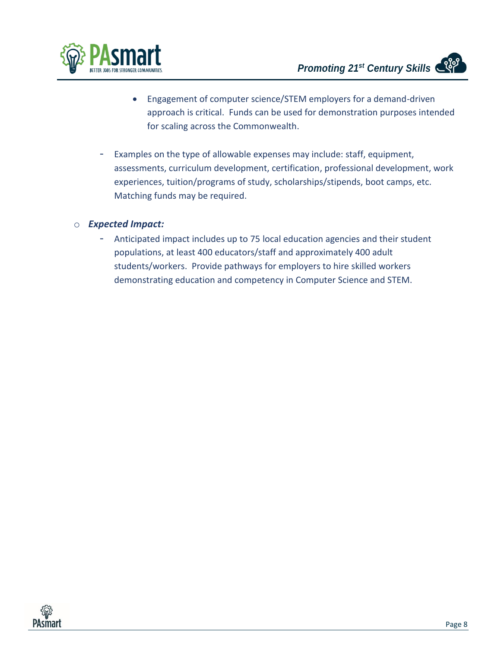



- Engagement of computer science/STEM employers for a demand-driven approach is critical. Funds can be used for demonstration purposes intended for scaling across the Commonwealth.
- Examples on the type of allowable expenses may include: staff, equipment, assessments, curriculum development, certification, professional development, work experiences, tuition/programs of study, scholarships/stipends, boot camps, etc. Matching funds may be required.

### o *Expected Impact:*

- Anticipated impact includes up to 75 local education agencies and their student populations, at least 400 educators/staff and approximately 400 adult students/workers. Provide pathways for employers to hire skilled workers demonstrating education and competency in Computer Science and STEM.

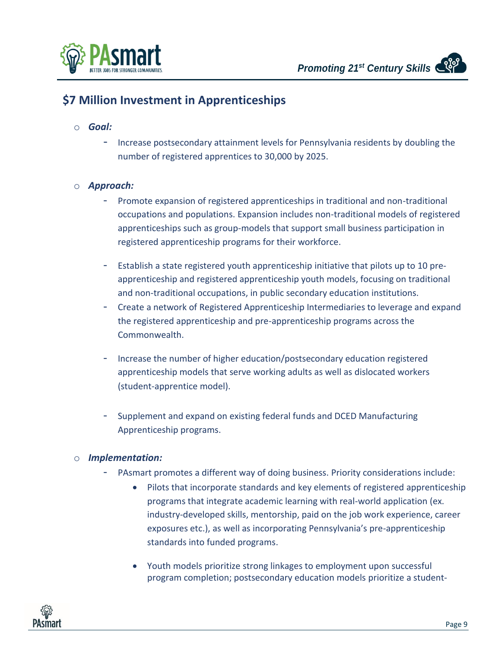

# **\$7 Million Investment in Apprenticeships**

- o *Goal:* 
	- Increase postsecondary attainment levels for Pennsylvania residents by doubling the number of registered apprentices to 30,000 by 2025.

### o *Approach:*

- Promote expansion of registered apprenticeships in traditional and non-traditional occupations and populations. Expansion includes non-traditional models of registered apprenticeships such as group-models that support small business participation in registered apprenticeship programs for their workforce.
- Establish a state registered youth apprenticeship initiative that pilots up to 10 preapprenticeship and registered apprenticeship youth models, focusing on traditional and non-traditional occupations, in public secondary education institutions.
- Create a network of Registered Apprenticeship Intermediaries to leverage and expand the registered apprenticeship and pre-apprenticeship programs across the Commonwealth.
- Increase the number of higher education/postsecondary education registered apprenticeship models that serve working adults as well as dislocated workers (student-apprentice model).
- Supplement and expand on existing federal funds and DCED Manufacturing Apprenticeship programs.

# o *Implementation:*

- PAsmart promotes a different way of doing business. Priority considerations include:
	- Pilots that incorporate standards and key elements of registered apprenticeship programs that integrate academic learning with real-world application (ex. industry-developed skills, mentorship, paid on the job work experience, career exposures etc.), as well as incorporating Pennsylvania's pre-apprenticeship standards into funded programs.
	- Youth models prioritize strong linkages to employment upon successful program completion; postsecondary education models prioritize a student-

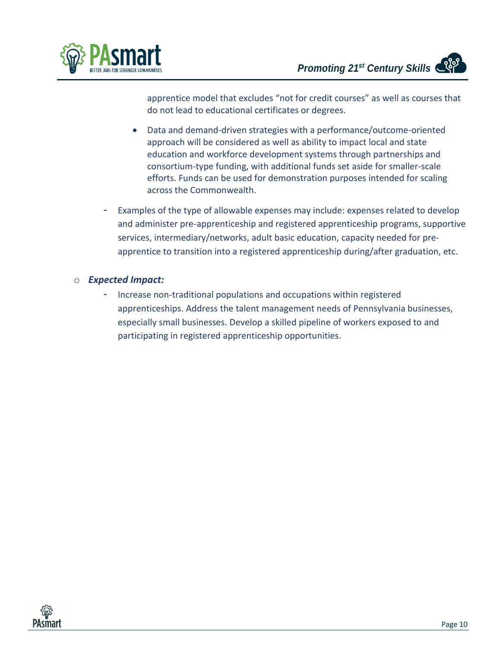

apprentice model that excludes "not for credit courses" as well as courses that do not lead to educational certificates or degrees.

- Data and demand-driven strategies with a performance/outcome-oriented approach will be considered as well as ability to impact local and state education and workforce development systems through partnerships and consortium-type funding, with additional funds set aside for smaller-scale efforts. Funds can be used for demonstration purposes intended for scaling across the Commonwealth.
- Examples of the type of allowable expenses may include: expenses related to develop and administer pre-apprenticeship and registered apprenticeship programs, supportive services, intermediary/networks, adult basic education, capacity needed for preapprentice to transition into a registered apprenticeship during/after graduation, etc.

#### o *Expected Impact:*

- Increase non-traditional populations and occupations within registered apprenticeships. Address the talent management needs of Pennsylvania businesses, especially small businesses. Develop a skilled pipeline of workers exposed to and participating in registered apprenticeship opportunities.

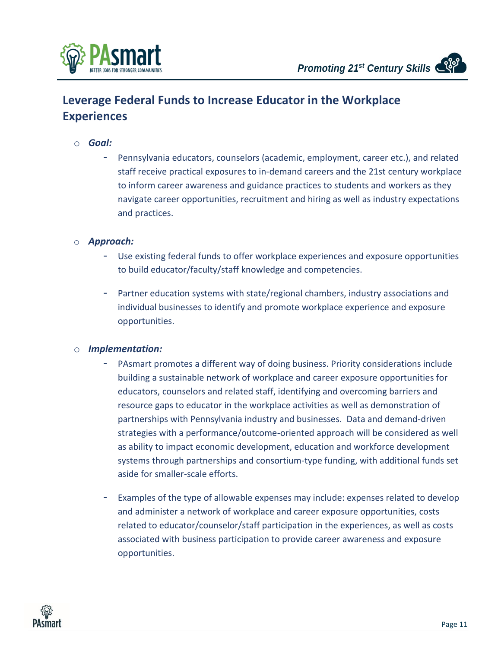

# **Leverage Federal Funds to Increase Educator in the Workplace Experiences**

- o *Goal:*
	- Pennsylvania educators, counselors (academic, employment, career etc.), and related staff receive practical exposures to in-demand careers and the 21st century workplace to inform career awareness and guidance practices to students and workers as they navigate career opportunities, recruitment and hiring as well as industry expectations and practices.
- o *Approach:* 
	- Use existing federal funds to offer workplace experiences and exposure opportunities to build educator/faculty/staff knowledge and competencies.
	- Partner education systems with state/regional chambers, industry associations and individual businesses to identify and promote workplace experience and exposure opportunities.

#### o *Implementation:*

- PAsmart promotes a different way of doing business. Priority considerations include building a sustainable network of workplace and career exposure opportunities for educators, counselors and related staff, identifying and overcoming barriers and resource gaps to educator in the workplace activities as well as demonstration of partnerships with Pennsylvania industry and businesses. Data and demand-driven strategies with a performance/outcome-oriented approach will be considered as well as ability to impact economic development, education and workforce development systems through partnerships and consortium-type funding, with additional funds set aside for smaller-scale efforts.
- Examples of the type of allowable expenses may include: expenses related to develop and administer a network of workplace and career exposure opportunities, costs related to educator/counselor/staff participation in the experiences, as well as costs associated with business participation to provide career awareness and exposure opportunities.

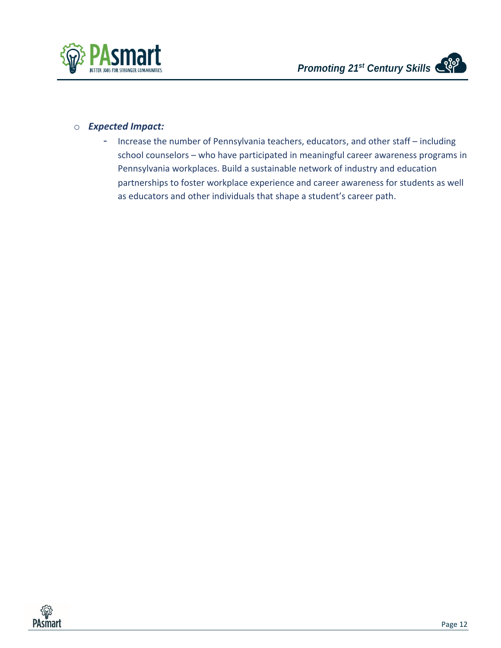

### o *Expected Impact:*

- Increase the number of Pennsylvania teachers, educators, and other staff – including school counselors – who have participated in meaningful career awareness programs in Pennsylvania workplaces. Build a sustainable network of industry and education partnerships to foster workplace experience and career awareness for students as well as educators and other individuals that shape a student's career path.

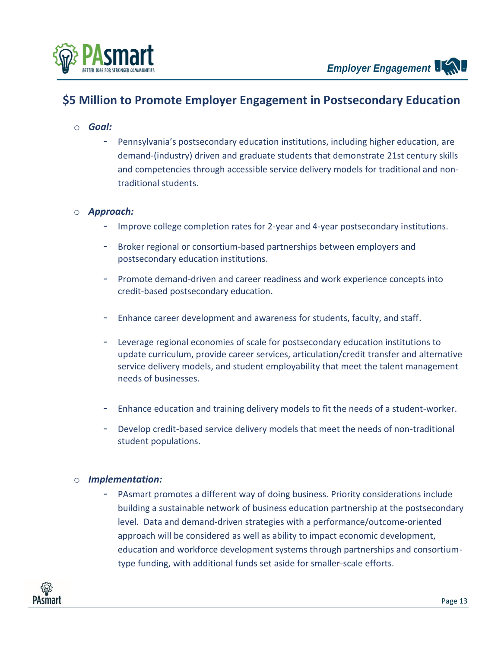

# **\$5 Million to Promote Employer Engagement in Postsecondary Education**

- o *Goal:*
	- Pennsylvania's postsecondary education institutions, including higher education, are demand-(industry) driven and graduate students that demonstrate 21st century skills and competencies through accessible service delivery models for traditional and nontraditional students.

#### o *Approach:*

- Improve college completion rates for 2-year and 4-year postsecondary institutions.
- Broker regional or consortium-based partnerships between employers and postsecondary education institutions.
- Promote demand-driven and career readiness and work experience concepts into credit-based postsecondary education.
- Enhance career development and awareness for students, faculty, and staff.
- Leverage regional economies of scale for postsecondary education institutions to update curriculum, provide career services, articulation/credit transfer and alternative service delivery models, and student employability that meet the talent management needs of businesses.
- Enhance education and training delivery models to fit the needs of a student-worker.
- Develop credit-based service delivery models that meet the needs of non-traditional student populations.

#### o *Implementation:*

PAsmart promotes a different way of doing business. Priority considerations include building a sustainable network of business education partnership at the postsecondary level. Data and demand-driven strategies with a performance/outcome-oriented approach will be considered as well as ability to impact economic development, education and workforce development systems through partnerships and consortiumtype funding, with additional funds set aside for smaller-scale efforts.

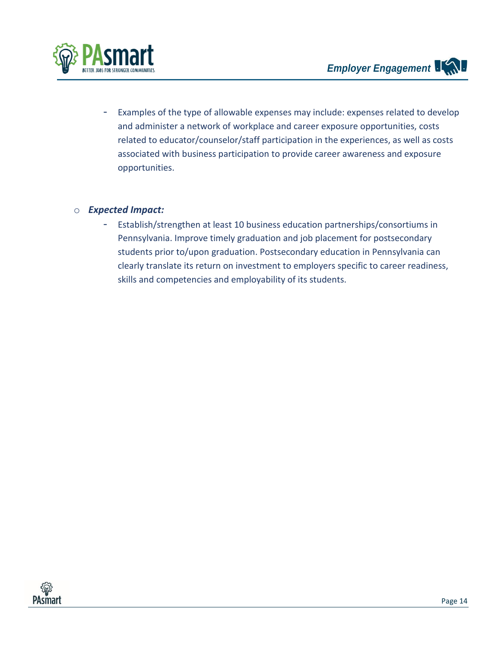

- Examples of the type of allowable expenses may include: expenses related to develop and administer a network of workplace and career exposure opportunities, costs related to educator/counselor/staff participation in the experiences, as well as costs associated with business participation to provide career awareness and exposure opportunities.

### o *Expected Impact:*

- Establish/strengthen at least 10 business education partnerships/consortiums in Pennsylvania. Improve timely graduation and job placement for postsecondary students prior to/upon graduation. Postsecondary education in Pennsylvania can clearly translate its return on investment to employers specific to career readiness, skills and competencies and employability of its students.

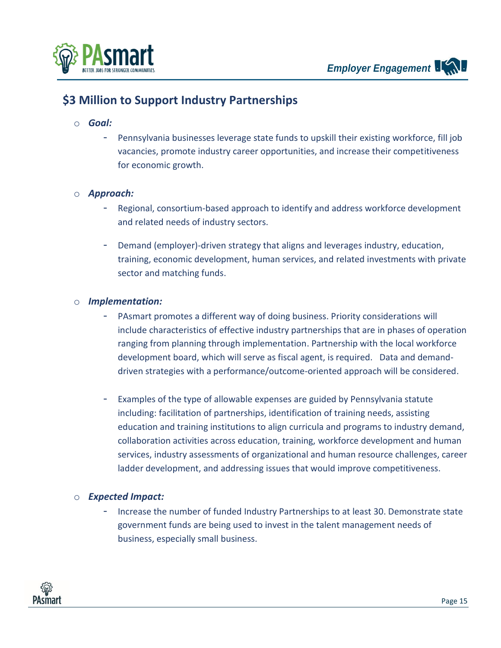

# **\$3 Million to Support Industry Partnerships**

#### o *Goal:*

Pennsylvania businesses leverage state funds to upskill their existing workforce, fill job vacancies, promote industry career opportunities, and increase their competitiveness for economic growth.

#### o *Approach:*

- Regional, consortium-based approach to identify and address workforce development and related needs of industry sectors.
- Demand (employer)-driven strategy that aligns and leverages industry, education, training, economic development, human services, and related investments with private sector and matching funds.

#### o *Implementation:*

- PAsmart promotes a different way of doing business. Priority considerations will include characteristics of effective industry partnerships that are in phases of operation ranging from planning through implementation. Partnership with the local workforce development board, which will serve as fiscal agent, is required. Data and demanddriven strategies with a performance/outcome-oriented approach will be considered.
- Examples of the type of allowable expenses are guided by Pennsylvania statute including: facilitation of partnerships, identification of training needs, assisting education and training institutions to align curricula and programs to industry demand, collaboration activities across education, training, workforce development and human services, industry assessments of organizational and human resource challenges, career ladder development, and addressing issues that would improve competitiveness.

#### o *Expected Impact:*

Increase the number of funded Industry Partnerships to at least 30. Demonstrate state government funds are being used to invest in the talent management needs of business, especially small business.

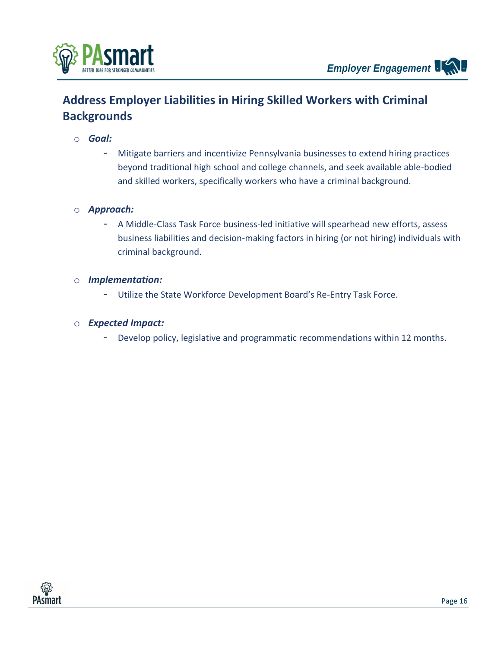

# **Address Employer Liabilities in Hiring Skilled Workers with Criminal Backgrounds**

- o *Goal:* 
	- Mitigate barriers and incentivize Pennsylvania businesses to extend hiring practices beyond traditional high school and college channels, and seek available able-bodied and skilled workers, specifically workers who have a criminal background.

### o *Approach:*

- A Middle-Class Task Force business-led initiative will spearhead new efforts, assess business liabilities and decision-making factors in hiring (or not hiring) individuals with criminal background.

#### o *Implementation:*

- Utilize the State Workforce Development Board's Re-Entry Task Force.

#### o *Expected Impact:*

- Develop policy, legislative and programmatic recommendations within 12 months.

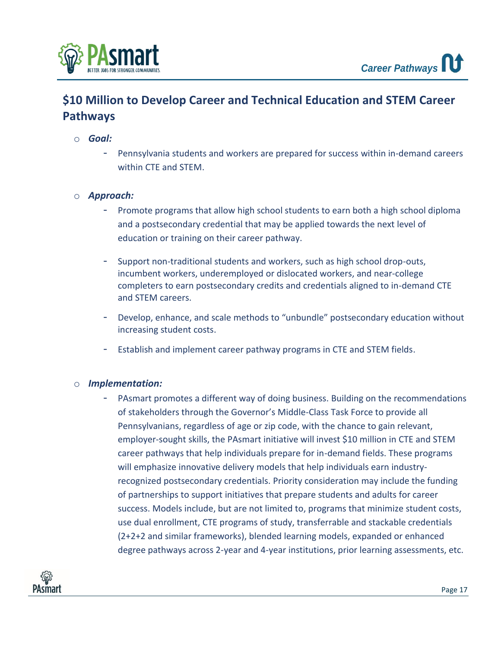

# **\$10 Million to Develop Career and Technical Education and STEM Career Pathways**

- o *Goal:* 
	- Pennsylvania students and workers are prepared for success within in-demand careers within CTE and STEM.

# o *Approach:*

- Promote programs that allow high school students to earn both a high school diploma and a postsecondary credential that may be applied towards the next level of education or training on their career pathway.
- Support non-traditional students and workers, such as high school drop-outs, incumbent workers, underemployed or dislocated workers, and near-college completers to earn postsecondary credits and credentials aligned to in-demand CTE and STEM careers.
- Develop, enhance, and scale methods to "unbundle" postsecondary education without increasing student costs.
- Establish and implement career pathway programs in CTE and STEM fields.

#### o *Implementation:*

PAsmart promotes a different way of doing business. Building on the recommendations of stakeholders through the Governor's Middle-Class Task Force to provide all Pennsylvanians, regardless of age or zip code, with the chance to gain relevant, employer-sought skills, the PAsmart initiative will invest \$10 million in CTE and STEM career pathways that help individuals prepare for in-demand fields. These programs will emphasize innovative delivery models that help individuals earn industryrecognized postsecondary credentials. Priority consideration may include the funding of partnerships to support initiatives that prepare students and adults for career success. Models include, but are not limited to, programs that minimize student costs, use dual enrollment, CTE programs of study, transferrable and stackable credentials (2+2+2 and similar frameworks), blended learning models, expanded or enhanced degree pathways across 2-year and 4-year institutions, prior learning assessments, etc.

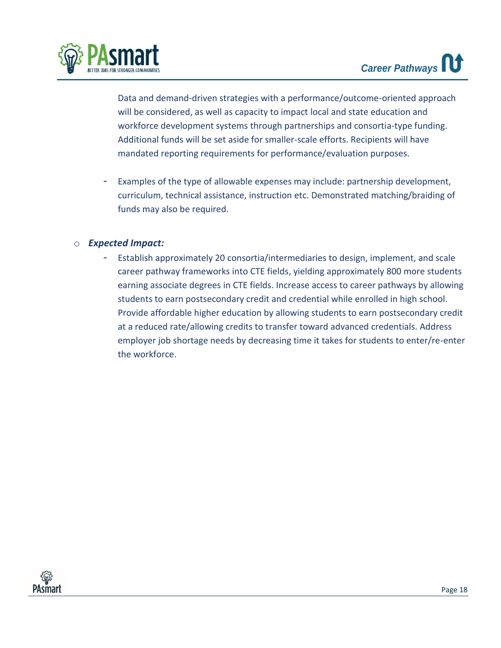

Data and demand-driven strategies with a performance/outcome-oriented approach will be considered, as well as capacity to impact local and state education and workforce development systems through partnerships and consortia-type funding. Additional funds will be set aside for smaller-scale efforts. Recipients will have mandated reporting requirements for performance/evaluation purposes.

Examples of the type of allowable expenses may include: partnership development, curriculum, technical assistance, instruction etc. Demonstrated matching/braiding of funds may also be required.

# o *Expected Impact:*

- Establish approximately 20 consortia/intermediaries to design, implement, and scale career pathway frameworks into CTE fields, yielding approximately 800 more students earning associate degrees in CTE fields. Increase access to career pathways by allowing students to earn postsecondary credit and credential while enrolled in high school. Provide affordable higher education by allowing students to earn postsecondary credit at a reduced rate/allowing credits to transfer toward advanced credentials. Address employer job shortage needs by decreasing time it takes for students to enter/re-enter the workforce.

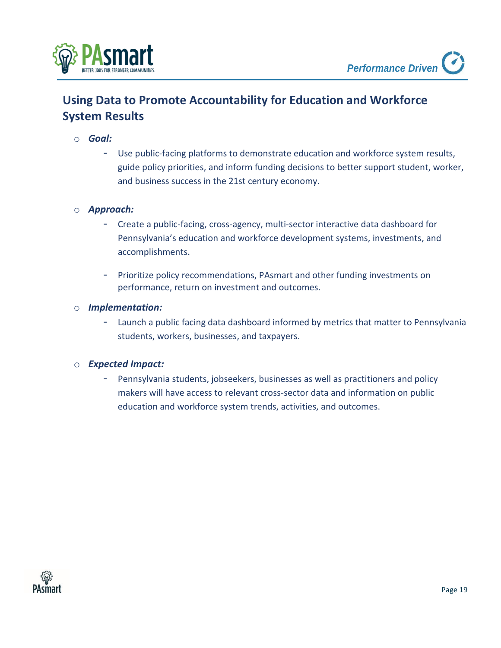

# **Using Data to Promote Accountability for Education and Workforce System Results**

### o *Goal:*

- Use public-facing platforms to demonstrate education and workforce system results, guide policy priorities, and inform funding decisions to better support student, worker, and business success in the 21st century economy.

# o *Approach:*

- Create a public-facing, cross-agency, multi-sector interactive data dashboard for Pennsylvania's education and workforce development systems, investments, and accomplishments.
- Prioritize policy recommendations, PAsmart and other funding investments on performance, return on investment and outcomes.

#### o *Implementation:*

Launch a public facing data dashboard informed by metrics that matter to Pennsylvania students, workers, businesses, and taxpayers.

#### o *Expected Impact:*

Pennsylvania students, jobseekers, businesses as well as practitioners and policy makers will have access to relevant cross-sector data and information on public education and workforce system trends, activities, and outcomes.

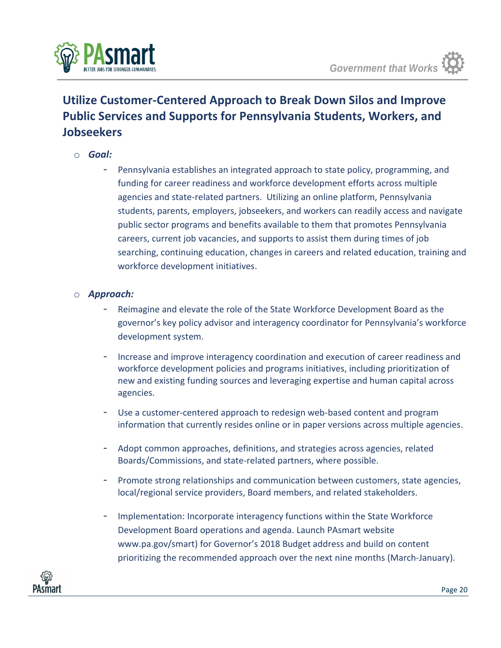

# **Utilize Customer-Centered Approach to Break Down Silos and Improve Public Services and Supports for Pennsylvania Students, Workers, and Jobseekers**

- o *Goal:* 
	- Pennsylvania establishes an integrated approach to state policy, programming, and funding for career readiness and workforce development efforts across multiple agencies and state-related partners. Utilizing an online platform, Pennsylvania students, parents, employers, jobseekers, and workers can readily access and navigate public sector programs and benefits available to them that promotes Pennsylvania careers, current job vacancies, and supports to assist them during times of job searching, continuing education, changes in careers and related education, training and workforce development initiatives.

# o *Approach:*

- Reimagine and elevate the role of the State Workforce Development Board as the governor's key policy advisor and interagency coordinator for Pennsylvania's workforce development system.
- Increase and improve interagency coordination and execution of career readiness and workforce development policies and programs initiatives, including prioritization of new and existing funding sources and leveraging expertise and human capital across agencies.
- Use a customer-centered approach to redesign web-based content and program information that currently resides online or in paper versions across multiple agencies.
- Adopt common approaches, definitions, and strategies across agencies, related Boards/Commissions, and state-related partners, where possible.
- Promote strong relationships and communication between customers, state agencies, local/regional service providers, Board members, and related stakeholders.
- Implementation: Incorporate interagency functions within the State Workforce Development Board operations and agenda. Launch PAsmart website [www.pa.gov/smart](http://www.pa.gov/smart)) for Governor's 2018 Budget address and build on content prioritizing the recommended approach over the next nine months (March-January).

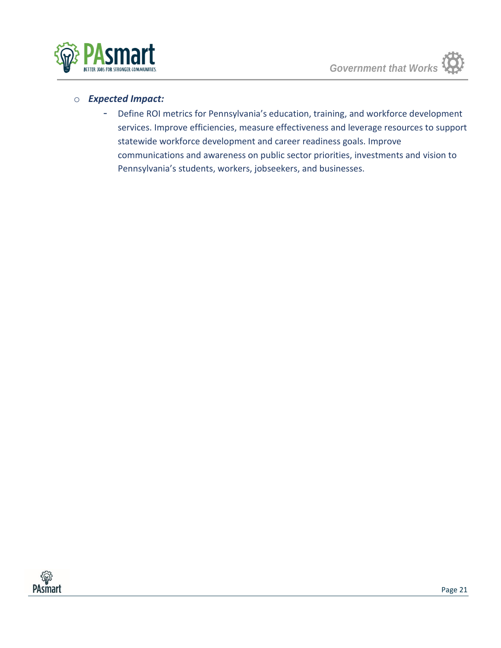

# o *Expected Impact:*

- Define ROI metrics for Pennsylvania's education, training, and workforce development services. Improve efficiencies, measure effectiveness and leverage resources to support statewide workforce development and career readiness goals. Improve communications and awareness on public sector priorities, investments and vision to Pennsylvania's students, workers, jobseekers, and businesses.

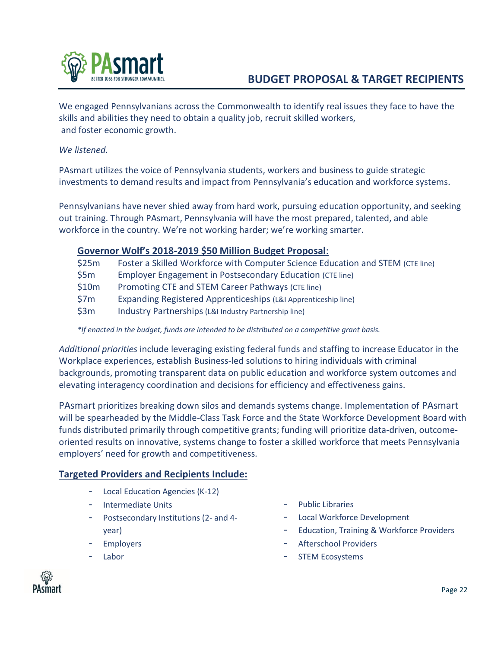

We engaged Pennsylvanians across the Commonwealth to identify real issues they face to have the skills and abilities they need to obtain a quality job, recruit skilled workers, and foster economic growth.

### *We listened.*

PAsmart utilizes the voice of Pennsylvania students, workers and business to guide strategic investments to demand results and impact from Pennsylvania's education and workforce systems.

Pennsylvanians have never shied away from hard work, pursuing education opportunity, and seeking out training. Through PAsmart, Pennsylvania will have the most prepared, talented, and able workforce in the country. We're not working harder; we're working smarter.

### **Governor Wolf's 2018-2019 \$50 Million Budget Proposal**:

| \$25m | Foster a Skilled Workforce with Computer Science Education and STEM (CTE line) |
|-------|--------------------------------------------------------------------------------|
| \$5m  | Employer Engagement in Postsecondary Education (CTE line)                      |
| \$10m | Promoting CTE and STEM Career Pathways (CTE line)                              |
| \$7m  | Expanding Registered Apprenticeships (L&I Apprenticeship line)                 |
| \$3m  | Industry Partnerships (L&I Industry Partnership line)                          |
|       |                                                                                |

*\*If enacted in the budget, funds are intended to be distributed on a competitive grant basis.*

*Additional priorities* include leveraging existing federal funds and staffing to increase Educator in the Workplace experiences, establish Business-led solutions to hiring individuals with criminal backgrounds, promoting transparent data on public education and workforce system outcomes and elevating interagency coordination and decisions for efficiency and effectiveness gains.

PAsmart prioritizes breaking down silos and demands systems change. Implementation of PAsmart will be spearheaded by the Middle-Class Task Force and the State Workforce Development Board with funds distributed primarily through competitive grants; funding will prioritize data-driven, outcomeoriented results on innovative, systems change to foster a skilled workforce that meets Pennsylvania employers' need for growth and competitiveness.

# **Targeted Providers and Recipients Include:**

- Local Education Agencies (K-12)
- Intermediate Units
- Postsecondary Institutions (2- and 4 year)
- **Employers**
- **Labor**
- Public Libraries
- Local Workforce Development
- Education, Training & Workforce Providers
- Afterschool Providers
- STEM Ecosystems

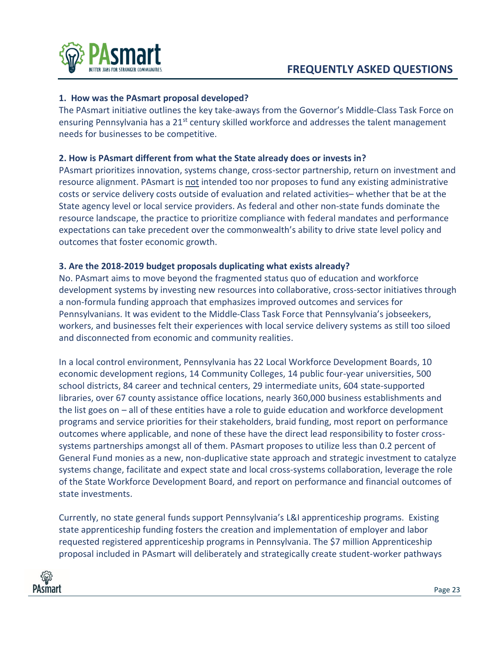

### **1. How was the PAsmart proposal developed?**

The PAsmart initiative outlines the key take-aways from the Governor's Middle-Class Task Force on ensuring Pennsylvania has a  $21^{st}$  century skilled workforce and addresses the talent management needs for businesses to be competitive.

#### **2. How is PAsmart different from what the State already does or invests in?**

PAsmart prioritizes innovation, systems change, cross-sector partnership, return on investment and resource alignment. PAsmart is not intended too nor proposes to fund any existing administrative costs or service delivery costs outside of evaluation and related activities– whether that be at the State agency level or local service providers. As federal and other non-state funds dominate the resource landscape, the practice to prioritize compliance with federal mandates and performance expectations can take precedent over the commonwealth's ability to drive state level policy and outcomes that foster economic growth.

### **3. Are the 2018-2019 budget proposals duplicating what exists already?**

No. PAsmart aims to move beyond the fragmented status quo of education and workforce development systems by investing new resources into collaborative, cross-sector initiatives through a non-formula funding approach that emphasizes improved outcomes and services for Pennsylvanians. It was evident to the Middle-Class Task Force that Pennsylvania's jobseekers, workers, and businesses felt their experiences with local service delivery systems as still too siloed and disconnected from economic and community realities.

In a local control environment, Pennsylvania has 22 Local Workforce Development Boards, 10 economic development regions, 14 Community Colleges, 14 public four-year universities, 500 school districts, 84 career and technical centers, 29 intermediate units, 604 state-supported libraries, over 67 county assistance office locations, nearly 360,000 business establishments and the list goes on – all of these entities have a role to guide education and workforce development programs and service priorities for their stakeholders, braid funding, most report on performance outcomes where applicable, and none of these have the direct lead responsibility to foster crosssystems partnerships amongst all of them. PAsmart proposes to utilize less than 0.2 percent of General Fund monies as a new, non-duplicative state approach and strategic investment to catalyze systems change, facilitate and expect state and local cross-systems collaboration, leverage the role of the State Workforce Development Board, and report on performance and financial outcomes of state investments.

Currently, no state general funds support Pennsylvania's L&I apprenticeship programs. Existing state apprenticeship funding fosters the creation and implementation of employer and labor requested registered apprenticeship programs in Pennsylvania. The \$7 million Apprenticeship proposal included in PAsmart will deliberately and strategically create student-worker pathways